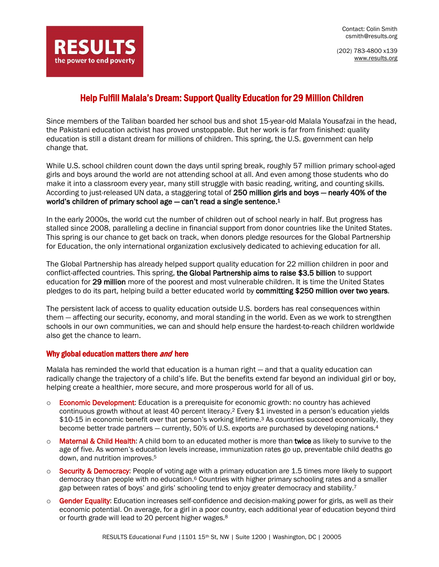Contact: Colin Smith csmith@results.org

(202) 783-4800 x139 [www.results.org](http://www.results.org/)

## Help Fulfill Malala's Dream: Support Quality Education for 29 Million Children

Since members of the Taliban boarded her school bus and shot 15-year-old Malala Yousafzai in the head, the Pakistani education activist has proved unstoppable. But her work is far from finished: quality education is still a distant dream for millions of children. This spring, the U.S. government can help change that.

While U.S. school children count down the days until spring break, roughly 57 million primary school-aged girls and boys around the world are not attending school at all. And even among those students who do make it into a classroom every year, many still struggle with basic reading, writing, and counting skills. According to just-released UN data, a staggering total of 250 million girls and boys - nearly 40% of the world's children of primary school age - can't read a single sentence.<sup>1</sup>

In the early 2000s, the world cut the number of children out of school nearly in half. But progress has stalled since 2008, paralleling a decline in financial support from donor countries like the United States. This spring is our chance to get back on track, when donors pledge resources for the Global Partnership for Education, the only international organization exclusively dedicated to achieving education for all.

The Global Partnership has already helped support quality education for 22 million children in poor and conflict-affected countries. This spring, the Global Partnership aims to raise \$3.5 billion to support education for 29 million more of the poorest and most vulnerable children. It is time the United States pledges to do its part, helping build a better educated world by committing \$250 million over two years.

The persistent lack of access to quality education outside U.S. borders has real consequences within them — affecting our security, economy, and moral standing in the world. Even as we work to strengthen schools in our own communities, we can and should help ensure the hardest-to-reach children worldwide also get the chance to learn.

## Why global education matters there and here

**RESULTS** 

the power to end poverty

Malala has reminded the world that education is a human right — and that a quality education can radically change the trajectory of a child's life. But the benefits extend far beyond an individual girl or boy, helping create a healthier, more secure, and more prosperous world for all of us.

- $\circ$  Economic Development: Education is a prerequisite for economic growth: no country has achieved continuous growth without at least 40 percent literacy.<sup>2</sup> Every \$1 invested in a person's education yields \$10-15 in economic benefit over that person's working lifetime.<sup>3</sup> As countries succeed economically, they become better trade partners — currently, 50% of U.S. exports are purchased by developing nations.<sup>4</sup>
- o Maternal & Child Health: A child born to an educated mother is more than twice as likely to survive to the age of five. As women's education levels increase, immunization rates go up, preventable child deaths go down, and nutrition improves. 5
- $\circ$  Security & Democracy: People of voting age with a primary education are 1.5 times more likely to support democracy than people with no education.<sup>6</sup> Countries with higher primary schooling rates and a smaller gap between rates of boys' and girls' schooling tend to enjoy greater democracy and stability.<sup>7</sup>
- o Gender Equality: Education increases self-confidence and decision-making power for girls, as well as their economic potential. On average, for a girl in a poor country, each additional year of education beyond third or fourth grade will lead to 20 percent higher wages.<sup>8</sup>